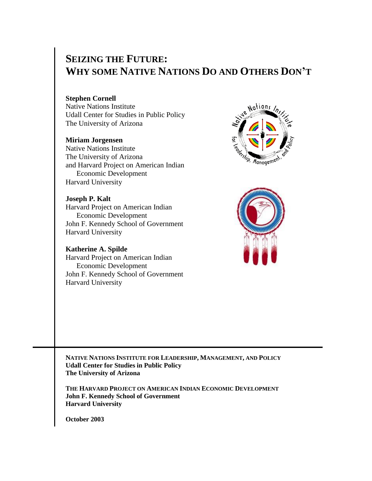# **SEIZING THE FUTURE: WHY SOME NATIVE NATIONS DO AND OTHERS DON'T**

## **Stephen Cornell**

Native Nations Institute Udall Center for Studies in Public Policy The University of Arizona

#### **Miriam Jorgensen**

Native Nations Institute The University of Arizona and Harvard Project on American Indian Economic Development Harvard University

#### **Joseph P. Kalt**

Harvard Project on American Indian Economic Development John F. Kennedy School of Government Harvard University

### **Katherine A. Spilde**

Harvard Project on American Indian Economic Development John F. Kennedy School of Government Harvard University





**NATIVE NATIONS INSTITUTE FOR LEADERSHIP, MANAGEMENT, AND POLICY Udall Center for Studies in Public Policy The University of Arizona**

**THE HARVARD PROJECT ON AMERICAN INDIAN ECONOMIC DEVELOPMENT John F. Kennedy School of Government Harvard University**

**October 2003**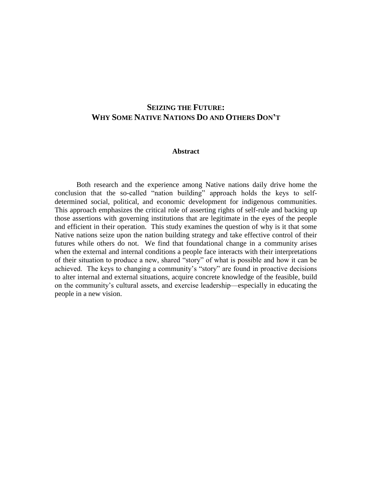# **SEIZING THE FUTURE: WHY SOME NATIVE NATIONS DO AND OTHERS DON'T**

#### **Abstract**

Both research and the experience among Native nations daily drive home the conclusion that the so-called "nation building" approach holds the keys to selfdetermined social, political, and economic development for indigenous communities. This approach emphasizes the critical role of asserting rights of self-rule and backing up those assertions with governing institutions that are legitimate in the eyes of the people and efficient in their operation. This study examines the question of why is it that some Native nations seize upon the nation building strategy and take effective control of their futures while others do not. We find that foundational change in a community arises when the external and internal conditions a people face interacts with their interpretations of their situation to produce a new, shared "story" of what is possible and how it can be achieved. The keys to changing a community's "story" are found in proactive decisions to alter internal and external situations, acquire concrete knowledge of the feasible, build on the community's cultural assets, and exercise leadership—especially in educating the people in a new vision.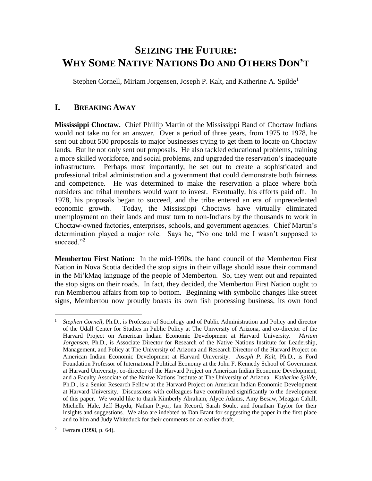# **SEIZING THE FUTURE: WHY SOME NATIVE NATIONS DO AND OTHERS DON'T**

Stephen Cornell, Miriam Jorgensen, Joseph P. Kalt, and Katherine A. Spilde<sup>1</sup>

## **I. BREAKING AWAY**

**Mississippi Choctaw.** Chief Phillip Martin of the Mississippi Band of Choctaw Indians would not take no for an answer. Over a period of three years, from 1975 to 1978, he sent out about 500 proposals to major businesses trying to get them to locate on Choctaw lands. But he not only sent out proposals. He also tackled educational problems, training a more skilled workforce, and social problems, and upgraded the reservation's inadequate infrastructure. Perhaps most importantly, he set out to create a sophisticated and professional tribal administration and a government that could demonstrate both fairness and competence. He was determined to make the reservation a place where both outsiders and tribal members would want to invest. Eventually, his efforts paid off. In 1978, his proposals began to succeed, and the tribe entered an era of unprecedented economic growth. Today, the Mississippi Choctaws have virtually eliminated unemployment on their lands and must turn to non-Indians by the thousands to work in Choctaw-owned factories, enterprises, schools, and government agencies. Chief Martin's determination played a major role. Says he, "No one told me I wasn't supposed to succeed."<sup>2</sup>

**Membertou First Nation:** In the mid-1990s, the band council of the Membertou First Nation in Nova Scotia decided the stop signs in their village should issue their command in the Mi'kMaq language of the people of Membertou. So, they went out and repainted the stop signs on their roads. In fact, they decided, the Membertou First Nation ought to run Membertou affairs from top to bottom. Beginning with symbolic changes like street signs, Membertou now proudly boasts its own fish processing business, its own food

<sup>1</sup> *Stephen Cornell,* Ph.D., is Professor of Sociology and of Public Administration and Policy and director of the Udall Center for Studies in Public Policy at The University of Arizona, and co-director of the Harvard Project on American Indian Economic Development at Harvard University. *Miriam Jorgensen,* Ph.D., is Associate Director for Research of the Native Nations Institute for Leadership, Management, and Policy at The University of Arizona and Research Director of the Harvard Project on American Indian Economic Development at Harvard University. *Joseph P. Kalt,* Ph.D., is Ford Foundation Professor of International Political Economy at the John F. Kennedy School of Government at Harvard University, co-director of the Harvard Project on American Indian Economic Development, and a Faculty Associate of the Native Nations Institute at The University of Arizona. *Katherine Spilde,* Ph.D., is a Senior Research Fellow at the Harvard Project on American Indian Economic Development at Harvard University. Discussions with colleagues have contributed significantly to the development of this paper. We would like to thank Kimberly Abraham, Alyce Adams, Amy Besaw, Meagan Cahill, Michelle Hale, Jeff Haydu, Nathan Pryor, Ian Record, Sarah Soule, and Jonathan Taylor for their insights and suggestions. We also are indebted to Dan Brant for suggesting the paper in the first place and to him and Judy Whiteduck for their comments on an earlier draft.

Ferrara (1998, p. 64).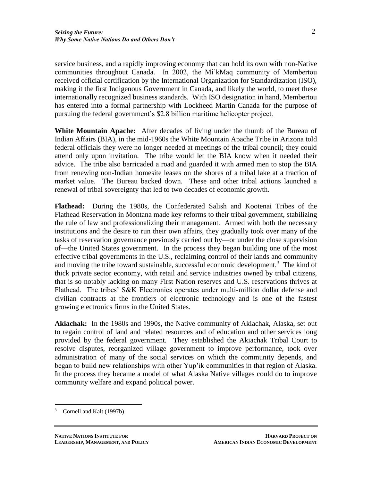service business, and a rapidly improving economy that can hold its own with non-Native communities throughout Canada. In 2002, the Mi'kMaq community of Membertou received official certification by the International Organization for Standardization (ISO), making it the first Indigenous Government in Canada, and likely the world, to meet these internationally recognized business standards. With ISO designation in hand, Membertou has entered into a formal partnership with Lockheed Martin Canada for the purpose of pursuing the federal government's \$2.8 billion maritime helicopter project.

**White Mountain Apache:** After decades of living under the thumb of the Bureau of Indian Affairs (BIA), in the mid-1960s the White Mountain Apache Tribe in Arizona told federal officials they were no longer needed at meetings of the tribal council; they could attend only upon invitation. The tribe would let the BIA know when it needed their advice. The tribe also barricaded a road and guarded it with armed men to stop the BIA from renewing non-Indian homesite leases on the shores of a tribal lake at a fraction of market value. The Bureau backed down. These and other tribal actions launched a renewal of tribal sovereignty that led to two decades of economic growth.

**Flathead:** During the 1980s, the Confederated Salish and Kootenai Tribes of the Flathead Reservation in Montana made key reforms to their tribal government, stabilizing the rule of law and professionalizing their management. Armed with both the necessary institutions and the desire to run their own affairs, they gradually took over many of the tasks of reservation governance previously carried out by—or under the close supervision of—the United States government. In the process they began building one of the most effective tribal governments in the U.S., reclaiming control of their lands and community and moving the tribe toward sustainable, successful economic development.<sup>3</sup> The kind of thick private sector economy, with retail and service industries owned by tribal citizens, that is so notably lacking on many First Nation reserves and U.S. reservations thrives at Flathead. The tribes' S&K Electronics operates under multi-million dollar defense and civilian contracts at the frontiers of electronic technology and is one of the fastest growing electronics firms in the United States.

**Akiachak:** In the 1980s and 1990s, the Native community of Akiachak, Alaska, set out to regain control of land and related resources and of education and other services long provided by the federal government. They established the Akiachak Tribal Court to resolve disputes, reorganized village government to improve performance, took over administration of many of the social services on which the community depends, and began to build new relationships with other Yup'ik communities in that region of Alaska. In the process they became a model of what Alaska Native villages could do to improve community welfare and expand political power.

<sup>3</sup> Cornell and Kalt (1997b).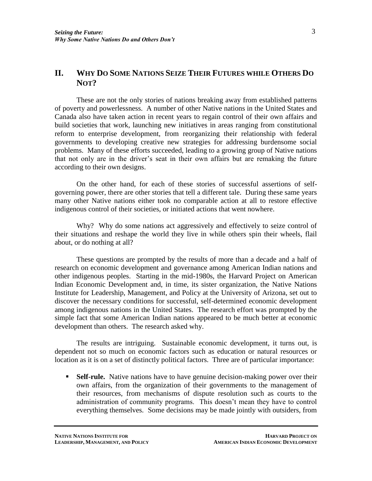# **II. WHY DO SOME NATIONS SEIZE THEIR FUTURES WHILE OTHERS DO NOT?**

These are not the only stories of nations breaking away from established patterns of poverty and powerlessness. A number of other Native nations in the United States and Canada also have taken action in recent years to regain control of their own affairs and build societies that work, launching new initiatives in areas ranging from constitutional reform to enterprise development, from reorganizing their relationship with federal governments to developing creative new strategies for addressing burdensome social problems. Many of these efforts succeeded, leading to a growing group of Native nations that not only are in the driver's seat in their own affairs but are remaking the future according to their own designs.

On the other hand, for each of these stories of successful assertions of selfgoverning power, there are other stories that tell a different tale. During these same years many other Native nations either took no comparable action at all to restore effective indigenous control of their societies, or initiated actions that went nowhere.

Why? Why do some nations act aggressively and effectively to seize control of their situations and reshape the world they live in while others spin their wheels, flail about, or do nothing at all?

These questions are prompted by the results of more than a decade and a half of research on economic development and governance among American Indian nations and other indigenous peoples. Starting in the mid-1980s, the Harvard Project on American Indian Economic Development and, in time, its sister organization, the Native Nations Institute for Leadership, Management, and Policy at the University of Arizona, set out to discover the necessary conditions for successful, self-determined economic development among indigenous nations in the United States. The research effort was prompted by the simple fact that some American Indian nations appeared to be much better at economic development than others. The research asked why.

The results are intriguing. Sustainable economic development, it turns out, is dependent not so much on economic factors such as education or natural resources or location as it is on a set of distinctly political factors. Three are of particular importance:

**Self-rule.** Native nations have to have genuine decision-making power over their own affairs, from the organization of their governments to the management of their resources, from mechanisms of dispute resolution such as courts to the administration of community programs. This doesn't mean they have to control everything themselves. Some decisions may be made jointly with outsiders, from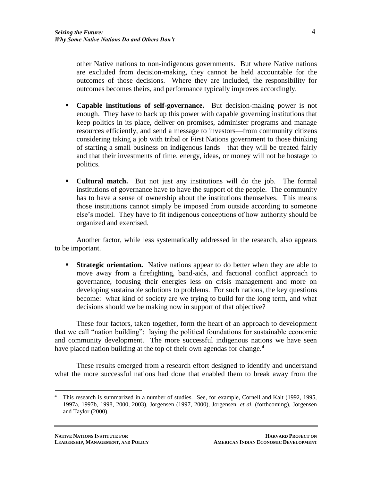other Native nations to non-indigenous governments. But where Native nations are excluded from decision-making, they cannot be held accountable for the outcomes of those decisions. Where they are included, the responsibility for outcomes becomes theirs, and performance typically improves accordingly.

- **Capable institutions of self-governance.** But decision-making power is not enough. They have to back up this power with capable governing institutions that keep politics in its place, deliver on promises, administer programs and manage resources efficiently, and send a message to investors—from community citizens considering taking a job with tribal or First Nations government to those thinking of starting a small business on indigenous lands—that they will be treated fairly and that their investments of time, energy, ideas, or money will not be hostage to politics.
- **Cultural match.** But not just any institutions will do the job. The formal institutions of governance have to have the support of the people. The community has to have a sense of ownership about the institutions themselves. This means those institutions cannot simply be imposed from outside according to someone else's model. They have to fit indigenous conceptions of how authority should be organized and exercised.

Another factor, while less systematically addressed in the research, also appears to be important.

**Strategic orientation.** Native nations appear to do better when they are able to move away from a firefighting, band-aids, and factional conflict approach to governance, focusing their energies less on crisis management and more on developing sustainable solutions to problems. For such nations, the key questions become: what kind of society are we trying to build for the long term, and what decisions should we be making now in support of that objective?

These four factors, taken together, form the heart of an approach to development that we call "nation building": laying the political foundations for sustainable economic and community development. The more successful indigenous nations we have seen have placed nation building at the top of their own agendas for change.<sup>4</sup>

These results emerged from a research effort designed to identify and understand what the more successful nations had done that enabled them to break away from the

<sup>4</sup> This research is summarized in a number of studies. See, for example, Cornell and Kalt (1992, 1995, 1997a, 1997b, 1998, 2000, 2003), Jorgensen (1997, 2000), Jorgensen, *et al.* (forthcoming), Jorgensen and Taylor (2000).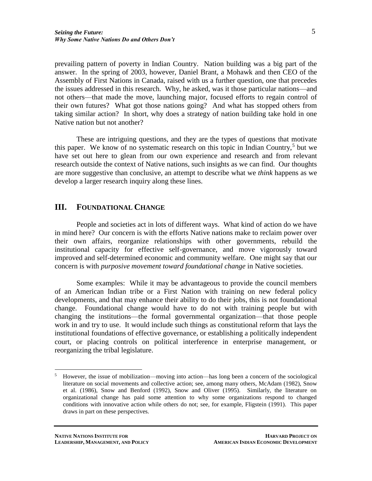prevailing pattern of poverty in Indian Country. Nation building was a big part of the answer. In the spring of 2003, however, Daniel Brant, a Mohawk and then CEO of the Assembly of First Nations in Canada, raised with us a further question, one that precedes the issues addressed in this research. Why, he asked, was it those particular nations—and not others—that made the move, launching major, focused efforts to regain control of their own futures? What got those nations going? And what has stopped others from taking similar action? In short, why does a strategy of nation building take hold in one

Native nation but not another?

These are intriguing questions, and they are the types of questions that motivate this paper. We know of no systematic research on this topic in Indian Country,<sup>5</sup> but we have set out here to glean from our own experience and research and from relevant research outside the context of Native nations, such insights as we can find. Our thoughts are more suggestive than conclusive, an attempt to describe what we *think* happens as we develop a larger research inquiry along these lines.

## **III. FOUNDATIONAL CHANGE**

People and societies act in lots of different ways. What kind of action do we have in mind here? Our concern is with the efforts Native nations make to reclaim power over their own affairs, reorganize relationships with other governments, rebuild the institutional capacity for effective self-governance, and move vigorously toward improved and self-determined economic and community welfare. One might say that our concern is with *purposive movement toward foundational change* in Native societies.

Some examples: While it may be advantageous to provide the council members of an American Indian tribe or a First Nation with training on new federal policy developments, and that may enhance their ability to do their jobs, this is not foundational change. Foundational change would have to do not with training people but with changing the institutions—the formal governmental organization—that those people work in and try to use. It would include such things as constitutional reform that lays the institutional foundations of effective governance, or establishing a politically independent court, or placing controls on political interference in enterprise management, or reorganizing the tribal legislature.

<sup>5</sup> However, the issue of mobilization—moving into action—has long been a concern of the sociological literature on social movements and collective action; see, among many others, McAdam (1982), Snow et al. (1986), Snow and Benford (1992), Snow and Oliver (1995). Similarly, the literature on organizational change has paid some attention to why some organizations respond to changed conditions with innovative action while others do not; see, for example, Fligstein (1991). This paper draws in part on these perspectives.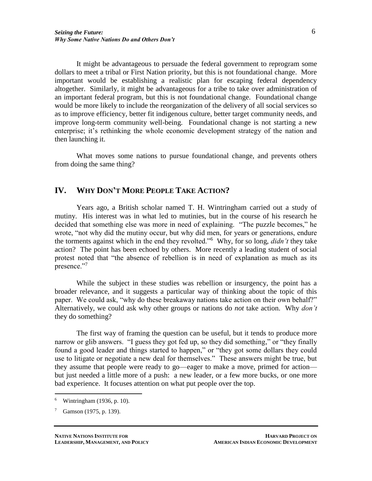It might be advantageous to persuade the federal government to reprogram some dollars to meet a tribal or First Nation priority, but this is not foundational change. More important would be establishing a realistic plan for escaping federal dependency altogether. Similarly, it might be advantageous for a tribe to take over administration of an important federal program, but this is not foundational change. Foundational change would be more likely to include the reorganization of the delivery of all social services so as to improve efficiency, better fit indigenous culture, better target community needs, and improve long-term community well-being. Foundational change is not starting a new enterprise; it's rethinking the whole economic development strategy of the nation and then launching it.

What moves some nations to pursue foundational change, and prevents others from doing the same thing?

## **IV. WHY DON'T MORE PEOPLE TAKE ACTION?**

Years ago, a British scholar named T. H. Wintringham carried out a study of mutiny. His interest was in what led to mutinies, but in the course of his research he decided that something else was more in need of explaining. "The puzzle becomes," he wrote, "not why did the mutiny occur, but why did men, for years or generations, endure the torments against which in the end they revolted."<sup>6</sup> Why, for so long, *didn't* they take action? The point has been echoed by others. More recently a leading student of social protest noted that "the absence of rebellion is in need of explanation as much as its presence."<sup>7</sup>

While the subject in these studies was rebellion or insurgency, the point has a broader relevance, and it suggests a particular way of thinking about the topic of this paper. We could ask, "why do these breakaway nations take action on their own behalf?" Alternatively, we could ask why other groups or nations do *not* take action. Why *don't* they do something?

The first way of framing the question can be useful, but it tends to produce more narrow or glib answers. "I guess they got fed up, so they did something," or "they finally found a good leader and things started to happen," or "they got some dollars they could use to litigate or negotiate a new deal for themselves." These answers might be true, but they assume that people were ready to go—eager to make a move, primed for action but just needed a little more of a push: a new leader, or a few more bucks, or one more bad experience. It focuses attention on what put people over the top.

<sup>6</sup> Wintringham (1936, p. 10).

Gamson (1975, p. 139).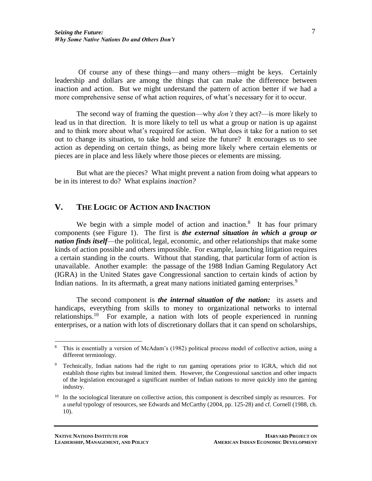Of course any of these things—and many others—might be keys. Certainly leadership and dollars are among the things that can make the difference between inaction and action. But we might understand the pattern of action better if we had a more comprehensive sense of what action requires, of what's necessary for it to occur.

The second way of framing the question—why *don't* they act?—is more likely to lead us in that direction. It is more likely to tell us what a group or nation is up against and to think more about what's required for action. What does it take for a nation to set out to change its situation, to take hold and seize the future? It encourages us to see action as depending on certain things, as being more likely where certain elements or pieces are in place and less likely where those pieces or elements are missing.

But what are the pieces? What might prevent a nation from doing what appears to be in its interest to do? What explains *inaction?*

## **V. THE LOGIC OF ACTION AND INACTION**

We begin with a simple model of action and inaction. $8$  It has four primary components (see Figure 1). The first is *the external situation in which a group or nation finds itself*—the political, legal, economic, and other relationships that make some kinds of action possible and others impossible. For example, launching litigation requires a certain standing in the courts. Without that standing, that particular form of action is unavailable. Another example: the passage of the 1988 Indian Gaming Regulatory Act (IGRA) in the United States gave Congressional sanction to certain kinds of action by Indian nations. In its aftermath, a great many nations initiated gaming enterprises.<sup>9</sup>

The second component is *the internal situation of the nation:* its assets and handicaps, everything from skills to money to organizational networks to internal relationships.<sup>10</sup> For example, a nation with lots of people experienced in running enterprises, or a nation with lots of discretionary dollars that it can spend on scholarships,

<sup>8</sup> This is essentially a version of McAdam's (1982) political process model of collective action, using a different terminology.

<sup>9</sup> Technically, Indian nations had the right to run gaming operations prior to IGRA, which did not establish those rights but instead limited them. However, the Congressional sanction and other impacts of the legislation encouraged a significant number of Indian nations to move quickly into the gaming industry.

<sup>&</sup>lt;sup>10</sup> In the sociological literature on collective action, this component is described simply as resources. For a useful typology of resources, see Edwards and McCarthy (2004, pp. 125-28) and cf. Cornell (1988, ch. 10).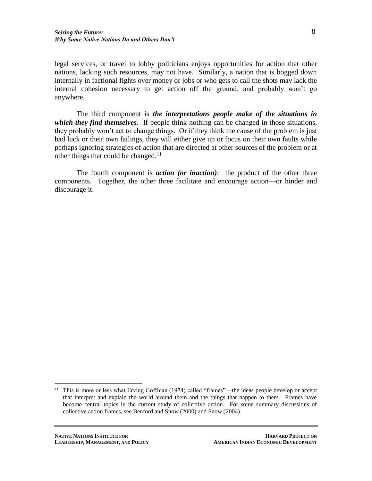legal services, or travel to lobby politicians enjoys opportunities for action that other nations, lacking such resources, may not have. Similarly, a nation that is bogged down internally in factional fights over money or jobs or who gets to call the shots may lack the internal cohesion necessary to get action off the ground, and probably won't go anywhere.

The third component is *the interpretations people make of the situations in which they find themselves.* If people think nothing can be changed in those situations, they probably won't act to change things. Or if they think the cause of the problem is just bad luck or their own failings, they will either give up or focus on their own faults while perhaps ignoring strategies of action that are directed at other sources of the problem or at other things that could be changed. $11$ 

The fourth component is *action (or inaction)*: the product of the other three components. Together, the other three facilitate and encourage action—or hinder and discourage it.

<sup>&</sup>lt;sup>11</sup> This is more or less what Erving Goffman (1974) called "frames"—the ideas people develop or accept that interpret and explain the world around them and the things that happen to them. Frames have become central topics in the current study of collective action. For some summary discussions of collective action frames, see Benford and Snow (2000) and Snow (2004).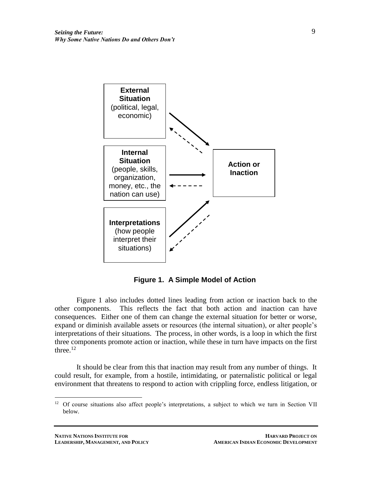

**Figure 1. A Simple Model of Action**

Figure 1 also includes dotted lines leading from action or inaction back to the other components. This reflects the fact that both action and inaction can have consequences. Either one of them can change the external situation for better or worse, expand or diminish available assets or resources (the internal situation), or alter people's interpretations of their situations. The process, in other words, is a loop in which the first three components promote action or inaction, while these in turn have impacts on the first three. $12$ 

It should be clear from this that inaction may result from any number of things. It could result, for example, from a hostile, intimidating, or paternalistic political or legal environment that threatens to respond to action with crippling force, endless litigation, or

<sup>&</sup>lt;sup>12</sup> Of course situations also affect people's interpretations, a subject to which we turn in Section VII below.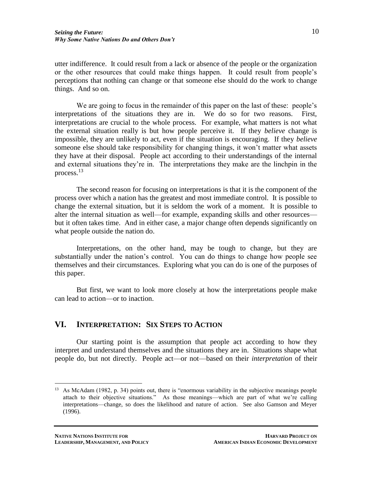utter indifference. It could result from a lack or absence of the people or the organization or the other resources that could make things happen. It could result from people's perceptions that nothing can change or that someone else should do the work to change things. And so on.

We are going to focus in the remainder of this paper on the last of these: people's interpretations of the situations they are in. We do so for two reasons. First, interpretations are crucial to the whole process. For example, what matters is not what the external situation really is but how people perceive it. If they *believe* change is impossible, they are unlikely to act, even if the situation is encouraging. If they *believe* someone else should take responsibility for changing things, it won't matter what assets they have at their disposal. People act according to their understandings of the internal and external situations they're in. The interpretations they make are the linchpin in the process.<sup>13</sup>

The second reason for focusing on interpretations is that it is the component of the process over which a nation has the greatest and most immediate control. It is possible to change the external situation, but it is seldom the work of a moment. It is possible to alter the internal situation as well—for example, expanding skills and other resources but it often takes time. And in either case, a major change often depends significantly on what people outside the nation do.

Interpretations, on the other hand, may be tough to change, but they are substantially under the nation's control. You can do things to change how people see themselves and their circumstances. Exploring what you can do is one of the purposes of this paper.

But first, we want to look more closely at how the interpretations people make can lead to action—or to inaction.

## **VI. INTERPRETATION: SIX STEPS TO ACTION**

Our starting point is the assumption that people act according to how they interpret and understand themselves and the situations they are in. Situations shape what people do, but not directly. People act—or not—based on their *interpretation* of their

<sup>13</sup> As McAdam (1982, p. 34) points out, there is "enormous variability in the subjective meanings people attach to their objective situations." As those meanings—which are part of what we're calling interpretations—change, so does the likelihood and nature of action. See also Gamson and Meyer (1996).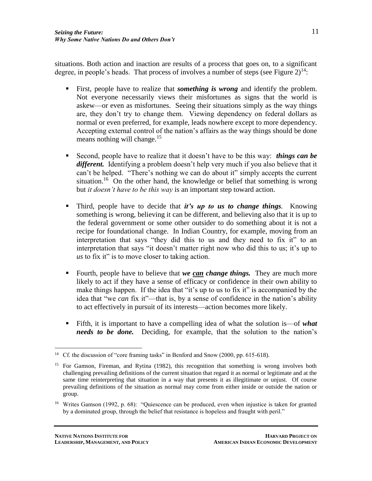situations. Both action and inaction are results of a process that goes on, to a significant degree, in people's heads. That process of involves a number of steps (see Figure  $2)^{14}$ :

- First, people have to realize that *something is wrong* and identify the problem. Not everyone necessarily views their misfortunes as signs that the world is askew—or even as misfortunes. Seeing their situations simply as the way things are, they don't try to change them. Viewing dependency on federal dollars as normal or even preferred, for example, leads nowhere except to more dependency. Accepting external control of the nation's affairs as the way things should be done means nothing will change.<sup>15</sup>
- Second, people have to realize that it doesn't have to be this way: *things can be different.* Identifying a problem doesn't help very much if you also believe that it can't be helped. "There's nothing we can do about it" simply accepts the current situation.<sup>16</sup> On the other hand, the knowledge or belief that something is wrong but *it doesn't have to be this way* is an important step toward action.
- Third, people have to decide that *it's up to us to change things.* Knowing something is wrong, believing it can be different, and believing also that it is up to the federal government or some other outsider to do something about it is not a recipe for foundational change. In Indian Country, for example, moving from an interpretation that says "they did this to us and they need to fix it" to an interpretation that says "it doesn't matter right now who did this to us; it's up to *us* to fix it" is to move closer to taking action.
- Fourth, people have to believe that *we can change things.* They are much more likely to act if they have a sense of efficacy or confidence in their own ability to make things happen. If the idea that "it's up to us to fix it" is accompanied by the idea that "we *can* fix it"—that is, by a sense of confidence in the nation's ability to act effectively in pursuit of its interests—action becomes more likely.
- Fifth, it is important to have a compelling idea of what the solution is—of *what needs to be done.* Deciding, for example, that the solution to the nation's

 $\overline{a}$ <sup>14</sup> Cf. the discussion of "core framing tasks" in Benford and Snow (2000, pp. 615-618).

<sup>&</sup>lt;sup>15</sup> For Gamson, Fireman, and Rytina (1982), this recognition that something is wrong involves both challenging prevailing definitions of the current situation that regard it as normal or legitimate and at the same time reinterpreting that situation in a way that presents it as illegitimate or unjust. Of course prevailing definitions of the situation as normal may come from either inside or outside the nation or group.

<sup>&</sup>lt;sup>16</sup> Writes Gamson (1992, p. 68): "Quiescence can be produced, even when injustice is taken for granted by a dominated group, through the belief that resistance is hopeless and fraught with peril."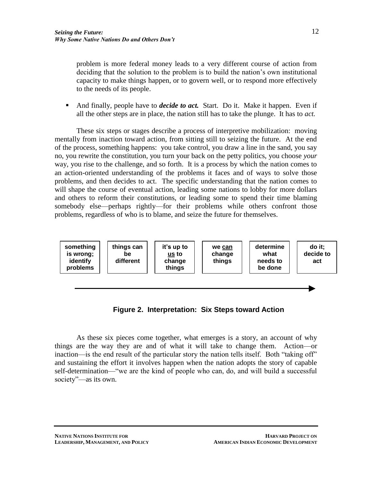problem is more federal money leads to a very different course of action from deciding that the solution to the problem is to build the nation's own institutional capacity to make things happen, or to govern well, or to respond more effectively to the needs of its people.

And finally, people have to *decide to act*. Start. Do it. Make it happen. Even if all the other steps are in place, the nation still has to take the plunge. It has to *act.*

These six steps or stages describe a process of interpretive mobilization: moving mentally from inaction toward action, from sitting still to seizing the future. At the end of the process, something happens: you take control, you draw a line in the sand, you say no, you rewrite the constitution, you turn your back on the petty politics, you choose *your* way, you rise to the challenge, and so forth. It is a process by which the nation comes to an action-oriented understanding of the problems it faces and of ways to solve those problems, and then decides to act. The specific understanding that the nation comes to will shape the course of eventual action, leading some nations to lobby for more dollars and others to reform their constitutions, or leading some to spend their time blaming somebody else—perhaps rightly—for their problems while others confront those problems, regardless of who is to blame, and seize the future for themselves.



**Figure 2. Interpretation: Six Steps toward Action**

As these six pieces come together, what emerges is a story, an account of why things are the way they are and of what it will take to change them. Action—or inaction—is the end result of the particular story the nation tells itself. Both "taking off" and sustaining the effort it involves happen when the nation adopts the story of capable self-determination—"we are the kind of people who can, do, and will build a successful society"—as its own.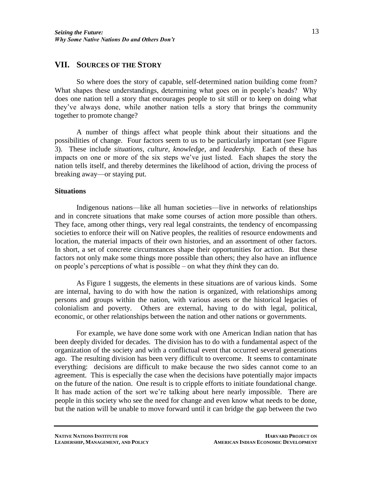## **VII. SOURCES OF THE STORY**

So where does the story of capable, self-determined nation building come from? What shapes these understandings, determining what goes on in people's heads? Why does one nation tell a story that encourages people to sit still or to keep on doing what they've always done, while another nation tells a story that brings the community together to promote change?

A number of things affect what people think about their situations and the possibilities of change. Four factors seem to us to be particularly important (see Figure 3). These include *situations, culture, knowledge,* and *leadership.* Each of these has impacts on one or more of the six steps we've just listed. Each shapes the story the nation tells itself, and thereby determines the likelihood of action, driving the process of breaking away—or staying put.

#### **Situations**

Indigenous nations—like all human societies—live in networks of relationships and in concrete situations that make some courses of action more possible than others. They face, among other things, very real legal constraints, the tendency of encompassing societies to enforce their will on Native peoples, the realities of resource endowments and location, the material impacts of their own histories, and an assortment of other factors. In short, a set of concrete circumstances shape their opportunities for action. But these factors not only make some things more possible than others; they also have an influence on people's perceptions of what is possible – on what they *think* they can do.

As Figure 1 suggests, the elements in these situations are of various kinds. Some are internal, having to do with how the nation is organized, with relationships among persons and groups within the nation, with various assets or the historical legacies of colonialism and poverty. Others are external, having to do with legal, political, economic, or other relationships between the nation and other nations or governments.

For example, we have done some work with one American Indian nation that has been deeply divided for decades. The division has to do with a fundamental aspect of the organization of the society and with a conflictual event that occurred several generations ago. The resulting division has been very difficult to overcome. It seems to contaminate everything: decisions are difficult to make because the two sides cannot come to an agreement. This is especially the case when the decisions have potentially major impacts on the future of the nation. One result is to cripple efforts to initiate foundational change. It has made action of the sort we're talking about here nearly impossible. There are people in this society who see the need for change and even know what needs to be done, but the nation will be unable to move forward until it can bridge the gap between the two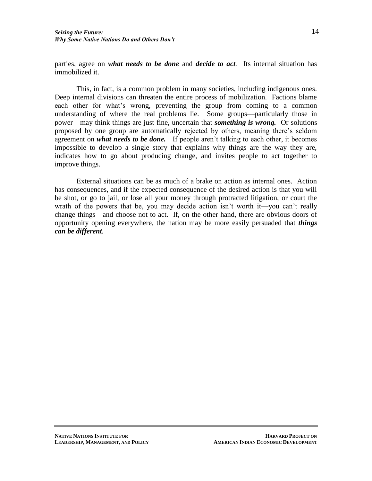parties, agree on *what needs to be done* and *decide to act.* Its internal situation has immobilized it.

This, in fact, is a common problem in many societies, including indigenous ones. Deep internal divisions can threaten the entire process of mobilization. Factions blame each other for what's wrong, preventing the group from coming to a common understanding of where the real problems lie. Some groups—particularly those in power—may think things are just fine, uncertain that *something is wrong.* Or solutions proposed by one group are automatically rejected by others, meaning there's seldom agreement on *what needs to be done.* If people aren't talking to each other, it becomes impossible to develop a single story that explains why things are the way they are, indicates how to go about producing change, and invites people to act together to improve things.

External situations can be as much of a brake on action as internal ones. Action has consequences, and if the expected consequence of the desired action is that you will be shot, or go to jail, or lose all your money through protracted litigation, or court the wrath of the powers that be, you may decide action isn't worth it—you can't really change things—and choose not to act. If, on the other hand, there are obvious doors of opportunity opening everywhere, the nation may be more easily persuaded that *things can be different.*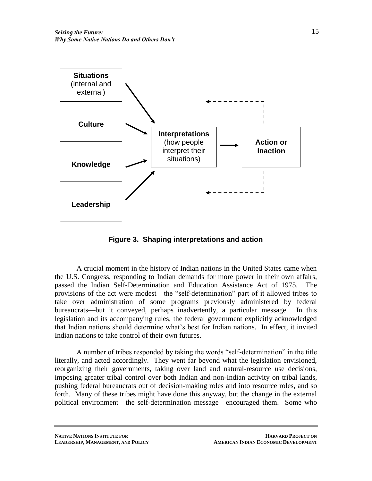

**Figure 3. Shaping interpretations and action**

A crucial moment in the history of Indian nations in the United States came when the U.S. Congress, responding to Indian demands for more power in their own affairs, passed the Indian Self-Determination and Education Assistance Act of 1975. The provisions of the act were modest—the "self-determination" part of it allowed tribes to take over administration of some programs previously administered by federal bureaucrats—but it conveyed, perhaps inadvertently, a particular message. In this legislation and its accompanying rules, the federal government explicitly acknowledged that Indian nations should determine what's best for Indian nations. In effect, it invited Indian nations to take control of their own futures.

A number of tribes responded by taking the words "self-determination" in the title literally, and acted accordingly. They went far beyond what the legislation envisioned, reorganizing their governments, taking over land and natural-resource use decisions, imposing greater tribal control over both Indian and non-Indian activity on tribal lands, pushing federal bureaucrats out of decision-making roles and into resource roles, and so forth. Many of these tribes might have done this anyway, but the change in the external political environment—the self-determination message—encouraged them. Some who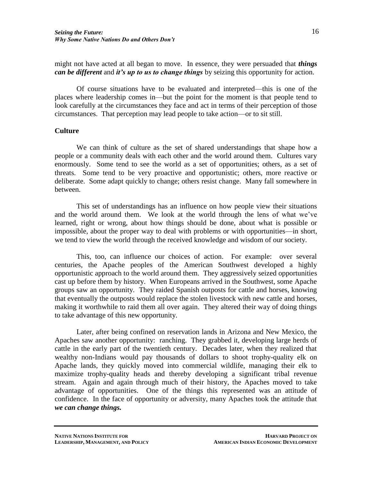might not have acted at all began to move. In essence, they were persuaded that *things can be different* and *it's up to us to change things* by seizing this opportunity for action.

Of course situations have to be evaluated and interpreted—this is one of the places where leadership comes in—but the point for the moment is that people tend to look carefully at the circumstances they face and act in terms of their perception of those circumstances. That perception may lead people to take action—or to sit still.

### **Culture**

We can think of culture as the set of shared understandings that shape how a people or a community deals with each other and the world around them. Cultures vary enormously. Some tend to see the world as a set of opportunities; others, as a set of threats. Some tend to be very proactive and opportunistic; others, more reactive or deliberate. Some adapt quickly to change; others resist change. Many fall somewhere in between.

This set of understandings has an influence on how people view their situations and the world around them. We look at the world through the lens of what we've learned, right or wrong, about how things should be done, about what is possible or impossible, about the proper way to deal with problems or with opportunities—in short, we tend to view the world through the received knowledge and wisdom of our society.

This, too, can influence our choices of action. For example: over several centuries, the Apache peoples of the American Southwest developed a highly opportunistic approach to the world around them. They aggressively seized opportunities cast up before them by history. When Europeans arrived in the Southwest, some Apache groups saw an opportunity. They raided Spanish outposts for cattle and horses, knowing that eventually the outposts would replace the stolen livestock with new cattle and horses, making it worthwhile to raid them all over again. They altered their way of doing things to take advantage of this new opportunity.

Later, after being confined on reservation lands in Arizona and New Mexico, the Apaches saw another opportunity: ranching. They grabbed it, developing large herds of cattle in the early part of the twentieth century. Decades later, when they realized that wealthy non-Indians would pay thousands of dollars to shoot trophy-quality elk on Apache lands, they quickly moved into commercial wildlife, managing their elk to maximize trophy-quality heads and thereby developing a significant tribal revenue stream. Again and again through much of their history, the Apaches moved to take advantage of opportunities. One of the things this represented was an attitude of confidence. In the face of opportunity or adversity, many Apaches took the attitude that *we can change things.*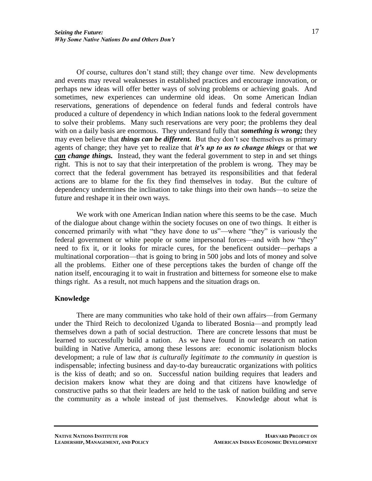Of course, cultures don't stand still; they change over time. New developments and events may reveal weaknesses in established practices and encourage innovation, or perhaps new ideas will offer better ways of solving problems or achieving goals. And sometimes, new experiences can undermine old ideas. On some American Indian reservations, generations of dependence on federal funds and federal controls have produced a culture of dependency in which Indian nations look to the federal government to solve their problems. Many such reservations are very poor; the problems they deal with on a daily basis are enormous. They understand fully that *something is wrong;* they may even believe that *things can be different.* But they don't see themselves as primary agents of change; they have yet to realize that *it's up to us to change things* or that *we can change things.* Instead, they want the federal government to step in and set things right. This is not to say that their interpretation of the problem is wrong. They may be correct that the federal government has betrayed its responsibilities and that federal actions are to blame for the fix they find themselves in today. But the culture of dependency undermines the inclination to take things into their own hands—to seize the future and reshape it in their own ways.

We work with one American Indian nation where this seems to be the case. Much of the dialogue about change within the society focuses on one of two things. It either is concerned primarily with what "they have done to us"—where "they" is variously the federal government or white people or some impersonal forces—and with how "they" need to fix it, or it looks for miracle cures, for the beneficent outsider—perhaps a multinational corporation—that is going to bring in 500 jobs and lots of money and solve all the problems. Either one of these perceptions takes the burden of change off the nation itself, encouraging it to wait in frustration and bitterness for someone else to make things right. As a result, not much happens and the situation drags on.

### **Knowledge**

There are many communities who take hold of their own affairs—from Germany under the Third Reich to decolonized Uganda to liberated Bosnia—and promptly lead themselves down a path of social destruction. There are concrete lessons that must be learned to successfully build a nation. As we have found in our research on nation building in Native America, among these lessons are: economic isolationism blocks development; a rule of law *that is culturally legitimate to the community in question* is indispensable; infecting business and day-to-day bureaucratic organizations with politics is the kiss of death; and so on. Successful nation building requires that leaders and decision makers know what they are doing and that citizens have knowledge of constructive paths so that their leaders are held to the task of nation building and serve the community as a whole instead of just themselves. Knowledge about what is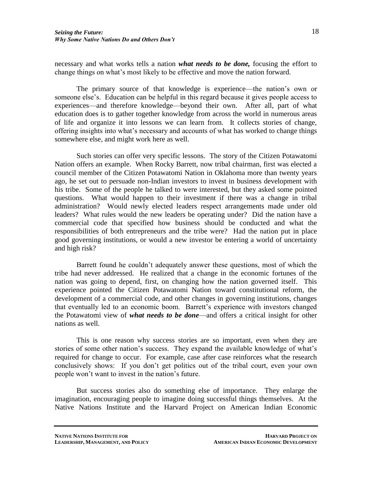necessary and what works tells a nation *what needs to be done,* focusing the effort to change things on what's most likely to be effective and move the nation forward.

The primary source of that knowledge is experience—the nation's own or someone else's. Education can be helpful in this regard because it gives people access to experiences—and therefore knowledge—beyond their own. After all, part of what education does is to gather together knowledge from across the world in numerous areas of life and organize it into lessons we can learn from. It collects stories of change, offering insights into what's necessary and accounts of what has worked to change things somewhere else, and might work here as well.

Such stories can offer very specific lessons. The story of the Citizen Potawatomi Nation offers an example. When Rocky Barrett, now tribal chairman, first was elected a council member of the Citizen Potawatomi Nation in Oklahoma more than twenty years ago, he set out to persuade non-Indian investors to invest in business development with his tribe. Some of the people he talked to were interested, but they asked some pointed questions. What would happen to their investment if there was a change in tribal administration? Would newly elected leaders respect arrangements made under old leaders? What rules would the new leaders be operating under? Did the nation have a commercial code that specified how business should be conducted and what the responsibilities of both entrepreneurs and the tribe were? Had the nation put in place good governing institutions, or would a new investor be entering a world of uncertainty and high risk?

Barrett found he couldn't adequately answer these questions, most of which the tribe had never addressed. He realized that a change in the economic fortunes of the nation was going to depend, first, on changing how the nation governed itself. This experience pointed the Citizen Potawatomi Nation toward constitutional reform, the development of a commercial code, and other changes in governing institutions, changes that eventually led to an economic boom. Barrett's experience with investors changed the Potawatomi view of *what needs to be done*—and offers a critical insight for other nations as well.

This is one reason why success stories are so important, even when they are stories of some other nation's success. They expand the available knowledge of what's required for change to occur. For example, case after case reinforces what the research conclusively shows: If you don't get politics out of the tribal court, even your own people won't want to invest in the nation's future.

But success stories also do something else of importance. They enlarge the imagination, encouraging people to imagine doing successful things themselves. At the Native Nations Institute and the Harvard Project on American Indian Economic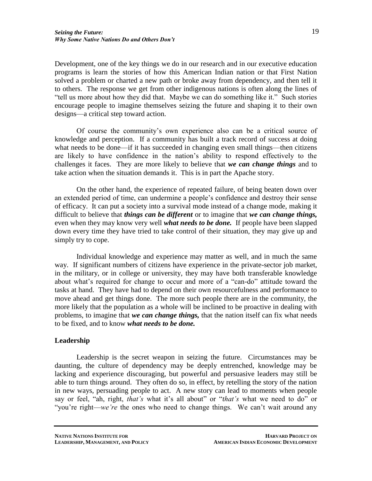Development, one of the key things we do in our research and in our executive education programs is learn the stories of how this American Indian nation or that First Nation solved a problem or charted a new path or broke away from dependency, and then tell it to others. The response we get from other indigenous nations is often along the lines of "tell us more about how they did that. Maybe we can do something like it." Such stories encourage people to imagine themselves seizing the future and shaping it to their own designs—a critical step toward action.

Of course the community's own experience also can be a critical source of knowledge and perception. If a community has built a track record of success at doing what needs to be done—if it has succeeded in changing even small things—then citizens are likely to have confidence in the nation's ability to respond effectively to the challenges it faces. They are more likely to believe that *we can change things* and to take action when the situation demands it. This is in part the Apache story.

On the other hand, the experience of repeated failure, of being beaten down over an extended period of time, can undermine a people's confidence and destroy their sense of efficacy. It can put a society into a survival mode instead of a change mode, making it difficult to believe that *things can be different* or to imagine that *we can change things,* even when they may know very well *what needs to be done.* If people have been slapped down every time they have tried to take control of their situation, they may give up and simply try to cope.

Individual knowledge and experience may matter as well, and in much the same way. If significant numbers of citizens have experience in the private-sector job market, in the military, or in college or university, they may have both transferable knowledge about what's required for change to occur and more of a "can-do" attitude toward the tasks at hand. They have had to depend on their own resourcefulness and performance to move ahead and get things done. The more such people there are in the community, the more likely that the population as a whole will be inclined to be proactive in dealing with problems, to imagine that *we can change things,* that the nation itself can fix what needs to be fixed, and to know *what needs to be done.*

## **Leadership**

Leadership is the secret weapon in seizing the future. Circumstances may be daunting, the culture of dependency may be deeply entrenched, knowledge may be lacking and experience discouraging, but powerful and persuasive leaders may still be able to turn things around. They often do so, in effect, by retelling the story of the nation in new ways, persuading people to act. A new story can lead to moments when people say or feel, "ah, right, *that's* what it's all about" or "*that's* what we need to do" or "you're right—*we're* the ones who need to change things. We can't wait around any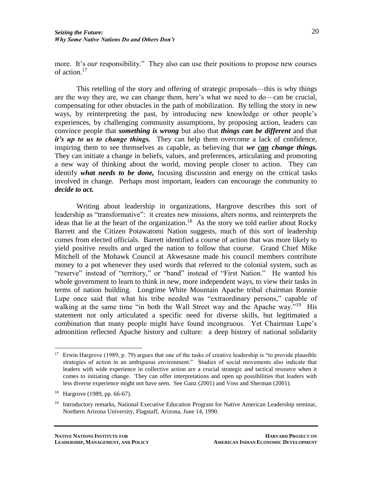more. It's *our* responsibility." They also can use their positions to propose new courses of action.<sup>17</sup>

This retelling of the story and offering of strategic proposals—this is why things are the way they are, we can change them, here's what we need to do—can be crucial, compensating for other obstacles in the path of mobilization. By telling the story in new ways, by reinterpreting the past, by introducing new knowledge or other people's experiences, by challenging community assumptions, by proposing action, leaders can convince people that *something is wrong* but also that *things can be different* and that *it's up to us to change things.* They can help them overcome a lack of confidence, inspiring them to see themselves as capable, as believing that *we can change things.* They can initiate a change in beliefs, values, and preferences, articulating and promoting a new way of thinking about the world, moving people closer to action. They can identify *what needs to be done,* focusing discussion and energy on the critical tasks involved in change. Perhaps most important, leaders can encourage the community to *decide to act.*

Writing about leadership in organizations, Hargrove describes this sort of leadership as "transformative": it creates new missions, alters norms, and reinterprets the ideas that lie at the heart of the organization.<sup>18</sup> As the story we told earlier about Rocky Barrett and the Citizen Potawatomi Nation suggests, much of this sort of leadership comes from elected officials. Barrett identified a course of action that was more likely to yield positive results and urged the nation to follow that course. Grand Chief Mike Mitchell of the Mohawk Council at Akwesasne made his council members contribute money to a pot whenever they used words that referred to the colonial system, such as "reserve" instead of "territory," or "band" instead of "First Nation." He wanted his whole government to learn to think in new, more independent ways, to view their tasks in terms of nation building. Longtime White Mountain Apache tribal chairman Ronnie Lupe once said that what his tribe needed was "extraordinary persons," capable of walking at the same time "in both the Wall Street way and the Apache way."<sup>19</sup> His statement not only articulated a specific need for diverse skills, but legitimated a combination that many people might have found incongruous. Yet Chairman Lupe's admonition reflected Apache history and culture: a deep history of national solidarity

 $\overline{a}$ <sup>17</sup> Erwin Hargrove (1989, p. 79) argues that one of the tasks of creative leadership is "to provide plausible" strategies of action in an ambiguous environment." Studies of social movements also indicate that leaders with wide experience in collective action are a crucial strategic and tactical resource when it comes to initiating change. They can offer interpretations and open up possibilities that leaders with less diverse experience might not have seen. See Ganz (2001) and Voss and Sherman (2001).

<sup>18</sup> Hargrove (1989, pp. 66-67).

<sup>&</sup>lt;sup>19</sup> Introductory remarks, National Executive Education Program for Native American Leadership seminar, Northern Arizona University, Flagstaff, Arizona, June 14, 1990.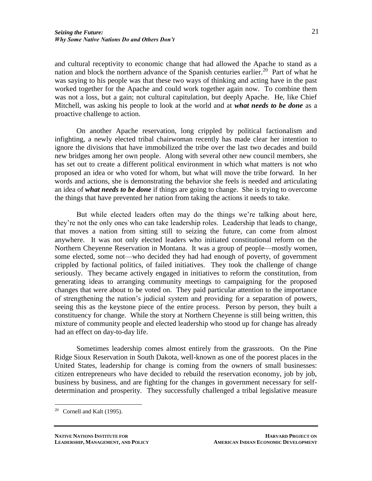and cultural receptivity to economic change that had allowed the Apache to stand as a nation and block the northern advance of the Spanish centuries earlier.<sup>20</sup> Part of what he was saying to his people was that these two ways of thinking and acting have in the past worked together for the Apache and could work together again now. To combine them was not a loss, but a gain; not cultural capitulation, but deeply Apache. He, like Chief Mitchell, was asking his people to look at the world and at *what needs to be done* as a proactive challenge to action.

On another Apache reservation, long crippled by political factionalism and infighting, a newly elected tribal chairwoman recently has made clear her intention to ignore the divisions that have immobilized the tribe over the last two decades and build new bridges among her own people. Along with several other new council members, she has set out to create a different political environment in which what matters is not who proposed an idea or who voted for whom, but what will move the tribe forward. In her words and actions, she is demonstrating the behavior she feels is needed and articulating an idea of *what needs to be done* if things are going to change. She is trying to overcome the things that have prevented her nation from taking the actions it needs to take.

But while elected leaders often may do the things we're talking about here, they're not the only ones who can take leadership roles. Leadership that leads to change, that moves a nation from sitting still to seizing the future, can come from almost anywhere. It was not only elected leaders who initiated constitutional reform on the Northern Cheyenne Reservation in Montana. It was a group of people—mostly women, some elected, some not—who decided they had had enough of poverty, of government crippled by factional politics, of failed initiatives. They took the challenge of change seriously. They became actively engaged in initiatives to reform the constitution, from generating ideas to arranging community meetings to campaigning for the proposed changes that were about to be voted on. They paid particular attention to the importance of strengthening the nation's judicial system and providing for a separation of powers, seeing this as the keystone piece of the entire process. Person by person, they built a constituency for change. While the story at Northern Cheyenne is still being written, this mixture of community people and elected leadership who stood up for change has already had an effect on day-to-day life.

Sometimes leadership comes almost entirely from the grassroots. On the Pine Ridge Sioux Reservation in South Dakota, well-known as one of the poorest places in the United States, leadership for change is coming from the owners of small businesses: citizen entrepreneurs who have decided to rebuild the reservation economy, job by job, business by business, and are fighting for the changes in government necessary for selfdetermination and prosperity. They successfully challenged a tribal legislative measure

 $20$  Cornell and Kalt (1995).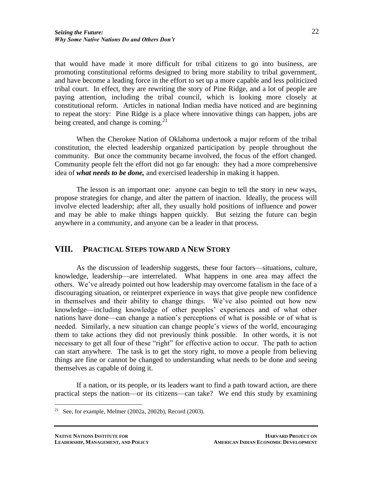that would have made it more difficult for tribal citizens to go into business, are promoting constitutional reforms designed to bring more stability to tribal government, and have become a leading force in the effort to set up a more capable and less politicized tribal court. In effect, they are rewriting the story of Pine Ridge, and a lot of people are paying attention, including the tribal council, which is looking more closely at constitutional reform. Articles in national Indian media have noticed and are beginning to repeat the story: Pine Ridge is a place where innovative things can happen, jobs are being created, and change is coming.<sup>21</sup>

When the Cherokee Nation of Oklahoma undertook a major reform of the tribal constitution, the elected leadership organized participation by people throughout the community. But once the community became involved, the focus of the effort changed. Community people felt the effort did not go far enough: they had a more comprehensive idea of *what needs to be done,* and exercised leadership in making it happen.

The lesson is an important one: anyone can begin to tell the story in new ways, propose strategies for change, and alter the pattern of inaction. Ideally, the process will involve elected leadership; after all, they usually hold positions of influence and power and may be able to make things happen quickly. But seizing the future can begin anywhere in a community, and anyone can be a leader in that process.

# **VIII. PRACTICAL STEPS TOWARD A NEW STORY**

As the discussion of leadership suggests, these four factors—situations, culture, knowledge, leadership—are interrelated. What happens in one area may affect the others. We've already pointed out how leadership may overcome fatalism in the face of a discouraging situation, or reinterpret experience in ways that give people new confidence in themselves and their ability to change things. We've also pointed out how new knowledge—including knowledge of other peoples' experiences and of what other nations have done—can change a nation's perceptions of what is possible or of what is needed. Similarly, a new situation can change people's views of the world, encouraging them to take actions they did not previously think possible. In other words, it is not necessary to get all four of these "right" for effective action to occur. The path to action can start anywhere. The task is to get the story right, to move a people from believing things are fine or cannot be changed to understanding what needs to be done and seeing themselves as capable of doing it.

If a nation, or its people, or its leaders want to find a path toward action, are there practical steps the nation—or its citizens—can take? We end this study by examining

<sup>&</sup>lt;sup>21</sup> See, for example, Melmer (2002a, 2002b), Record (2003).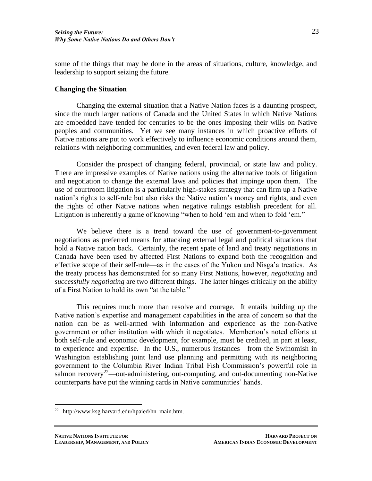some of the things that may be done in the areas of situations, culture, knowledge, and leadership to support seizing the future.

#### **Changing the Situation**

Changing the external situation that a Native Nation faces is a daunting prospect, since the much larger nations of Canada and the United States in which Native Nations are embedded have tended for centuries to be the ones imposing their wills on Native peoples and communities. Yet we see many instances in which proactive efforts of Native nations are put to work effectively to influence economic conditions around them, relations with neighboring communities, and even federal law and policy.

Consider the prospect of changing federal, provincial, or state law and policy. There are impressive examples of Native nations using the alternative tools of litigation and negotiation to change the external laws and policies that impinge upon them. The use of courtroom litigation is a particularly high-stakes strategy that can firm up a Native nation's rights to self-rule but also risks the Native nation's money and rights, and even the rights of other Native nations when negative rulings establish precedent for all. Litigation is inherently a game of knowing "when to hold 'em and when to fold 'em."

We believe there is a trend toward the use of government-to-government negotiations as preferred means for attacking external legal and political situations that hold a Native nation back. Certainly, the recent spate of land and treaty negotiations in Canada have been used by affected First Nations to expand both the recognition and effective scope of their self-rule—as in the cases of the Yukon and Nisga'a treaties. As the treaty process has demonstrated for so many First Nations, however, *negotiating* and *successfully negotiating* are two different things. The latter hinges critically on the ability of a First Nation to hold its own "at the table."

This requires much more than resolve and courage. It entails building up the Native nation's expertise and management capabilities in the area of concern so that the nation can be as well-armed with information and experience as the non-Native government or other institution with which it negotiates. Membertou's noted efforts at both self-rule and economic development, for example, must be credited, in part at least, to experience and expertise. In the U.S., numerous instances—from the Swinomish in Washington establishing joint land use planning and permitting with its neighboring government to the Columbia River Indian Tribal Fish Commission's powerful role in salmon recovery<sup>22</sup>—out-administering, out-computing, and out-documenting non-Native counterparts have put the winning cards in Native communities' hands.

<sup>22</sup> http://www.ksg.harvard.edu/hpaied/hn\_main.htm.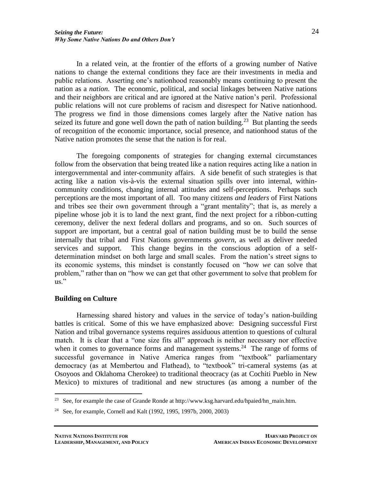In a related vein, at the frontier of the efforts of a growing number of Native nations to change the external conditions they face are their investments in media and public relations. Asserting one's nationhood reasonably means continuing to present the nation as a *nation*. The economic, political, and social linkages between Native nations and their neighbors are critical and are ignored at the Native nation's peril. Professional public relations will not cure problems of racism and disrespect for Native nationhood. The progress we find in those dimensions comes largely after the Native nation has seized its future and gone well down the path of nation building.<sup>23</sup> But planting the seeds of recognition of the economic importance, social presence, and nationhood status of the Native nation promotes the sense that the nation is for real.

The foregoing components of strategies for changing external circumstances follow from the observation that being treated like a nation requires acting like a nation in intergovernmental and inter-community affairs. A side benefit of such strategies is that acting like a nation vis-à-vis the external situation spills over into internal, withincommunity conditions, changing internal attitudes and self-perceptions. Perhaps such perceptions are the most important of all. Too many citizens *and leaders* of First Nations and tribes see their own government through a "grant mentality"; that is, as merely a pipeline whose job it is to land the next grant, find the next project for a ribbon-cutting ceremony, deliver the next federal dollars and programs, and so on. Such sources of support are important, but a central goal of nation building must be to build the sense internally that tribal and First Nations governments *govern*, as well as deliver needed services and support. This change begins in the conscious adoption of a selfdetermination mindset on both large and small scales. From the nation's street signs to its economic systems, this mindset is constantly focused on "how *we* can solve that problem," rather than on "how we can get that other government to solve that problem for us."

### **Building on Culture**

 $\overline{a}$ 

Harnessing shared history and values in the service of today's nation-building battles is critical. Some of this we have emphasized above: Designing successful First Nation and tribal governance systems requires assiduous attention to questions of cultural match. It is clear that a "one size fits all" approach is neither necessary nor effective when it comes to governance forms and management systems.<sup>24</sup> The range of forms of successful governance in Native America ranges from "textbook" parliamentary democracy (as at Membertou and Flathead), to "textbook" tri-cameral systems (as at Osoyoos and Oklahoma Cherokee) to traditional theocracy (as at Cochiti Pueblo in New Mexico) to mixtures of traditional and new structures (as among a number of the

<sup>&</sup>lt;sup>23</sup> See, for example the case of Grande Ronde at http://www.ksg.harvard.edu/hpaied/hn\_main.htm.

<sup>24</sup> See, for example, Cornell and Kalt (1992, 1995, 1997b, 2000, 2003)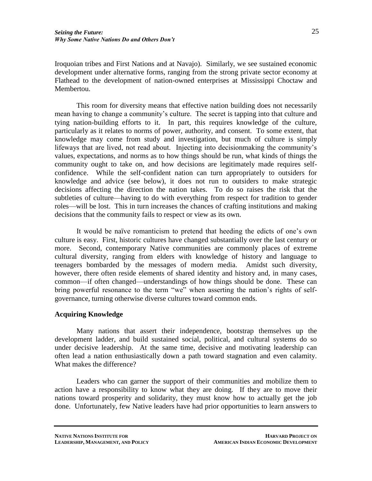Iroquoian tribes and First Nations and at Navajo). Similarly, we see sustained economic development under alternative forms, ranging from the strong private sector economy at Flathead to the development of nation-owned enterprises at Mississippi Choctaw and Membertou.

This room for diversity means that effective nation building does not necessarily mean having to change a community's culture. The secret is tapping into that culture and tying nation-building efforts to it. In part, this requires knowledge of the culture, particularly as it relates to norms of power, authority, and consent. To some extent, that knowledge may come from study and investigation, but much of culture is simply lifeways that are lived, not read about. Injecting into decisionmaking the community's values, expectations, and norms as to how things should be run, what kinds of things the community ought to take on, and how decisions are legitimately made requires selfconfidence. While the self-confident nation can turn appropriately to outsiders for knowledge and advice (see below), it does not run to outsiders to make strategic decisions affecting the direction the nation takes. To do so raises the risk that the subtleties of culture—having to do with everything from respect for tradition to gender roles—will be lost. This in turn increases the chances of crafting institutions and making decisions that the community fails to respect or view as its own.

It would be naïve romanticism to pretend that heeding the edicts of one's own culture is easy. First, historic cultures have changed substantially over the last century or more. Second, contemporary Native communities are commonly places of extreme cultural diversity, ranging from elders with knowledge of history and language to teenagers bombarded by the messages of modern media. Amidst such diversity, however, there often reside elements of shared identity and history and, in many cases, common—if often changed—understandings of how things should be done. These can bring powerful resonance to the term "we" when asserting the nation's rights of selfgovernance, turning otherwise diverse cultures toward common ends.

## **Acquiring Knowledge**

Many nations that assert their independence, bootstrap themselves up the development ladder, and build sustained social, political, and cultural systems do so under decisive leadership. At the same time, decisive and motivating leadership can often lead a nation enthusiastically down a path toward stagnation and even calamity. What makes the difference?

Leaders who can garner the support of their communities and mobilize them to action have a responsibility to know what they are doing. If they are to move their nations toward prosperity and solidarity, they must know how to actually get the job done. Unfortunately, few Native leaders have had prior opportunities to learn answers to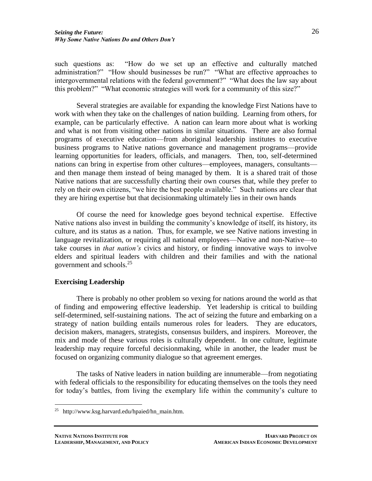such questions as: "How do we set up an effective and culturally matched administration?" "How should businesses be run?" "What are effective approaches to intergovernmental relations with the federal government?" "What does the law say about this problem?" "What economic strategies will work for a community of this size?"

Several strategies are available for expanding the knowledge First Nations have to work with when they take on the challenges of nation building. Learning from others, for example, can be particularly effective. A nation can learn more about what is working and what is not from visiting other nations in similar situations. There are also formal programs of executive education—from aboriginal leadership institutes to executive business programs to Native nations governance and management programs—provide learning opportunities for leaders, officials, and managers. Then, too, self-determined nations can bring in expertise from other cultures—employees, managers, consultants and then manage them instead of being managed by them. It is a shared trait of those Native nations that are successfully charting their own courses that, while they prefer to rely on their own citizens, "we hire the best people available." Such nations are clear that they are hiring expertise but that decisionmaking ultimately lies in their own hands

Of course the need for knowledge goes beyond technical expertise. Effective Native nations also invest in building the community's knowledge of itself, its history, its culture, and its status as a nation. Thus, for example, we see Native nations investing in language revitalization, or requiring all national employees—Native and non-Native—to take courses in *that nation's* civics and history, or finding innovative ways to involve elders and spiritual leaders with children and their families and with the national government and schools.<sup>25</sup>

### **Exercising Leadership**

There is probably no other problem so vexing for nations around the world as that of finding and empowering effective leadership. Yet leadership is critical to building self-determined, self-sustaining nations. The act of seizing the future and embarking on a strategy of nation building entails numerous roles for leaders. They are educators, decision makers, managers, strategists, consensus builders, and inspirers. Moreover, the mix and mode of these various roles is culturally dependent. In one culture, legitimate leadership may require forceful decisionmaking, while in another, the leader must be focused on organizing community dialogue so that agreement emerges.

The tasks of Native leaders in nation building are innumerable—from negotiating with federal officials to the responsibility for educating themselves on the tools they need for today's battles, from living the exemplary life within the community's culture to

<sup>25</sup> http://www.ksg.harvard.edu/hpaied/hn\_main.htm.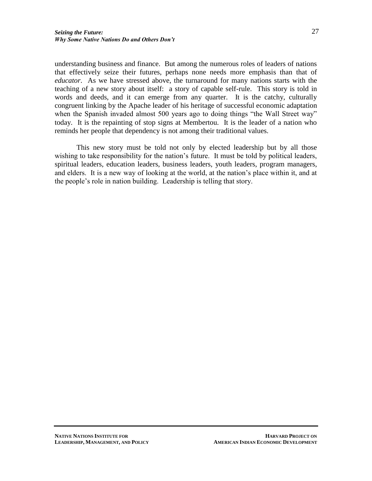understanding business and finance. But among the numerous roles of leaders of nations that effectively seize their futures, perhaps none needs more emphasis than that of *educator*. As we have stressed above, the turnaround for many nations starts with the teaching of a new story about itself: a story of capable self-rule. This story is told in words and deeds, and it can emerge from any quarter. It is the catchy, culturally congruent linking by the Apache leader of his heritage of successful economic adaptation when the Spanish invaded almost 500 years ago to doing things "the Wall Street way" today. It is the repainting of stop signs at Membertou. It is the leader of a nation who reminds her people that dependency is not among their traditional values.

This new story must be told not only by elected leadership but by all those wishing to take responsibility for the nation's future. It must be told by political leaders, spiritual leaders, education leaders, business leaders, youth leaders, program managers, and elders. It is a new way of looking at the world, at the nation's place within it, and at the people's role in nation building. Leadership is telling that story.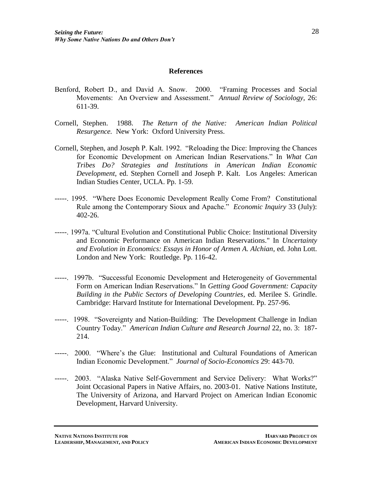#### **References**

- Benford, Robert D., and David A. Snow. 2000. "Framing Processes and Social Movements: An Overview and Assessment." *Annual Review of Sociology,* 26: 611-39.
- Cornell, Stephen. 1988. *The Return of the Native: American Indian Political Resurgence.* New York: Oxford University Press.
- Cornell, Stephen, and Joseph P. Kalt. 1992. "Reloading the Dice: Improving the Chances for Economic Development on American Indian Reservations." In *What Can Tribes Do? Strategies and Institutions in American Indian Economic Development*, ed. Stephen Cornell and Joseph P. Kalt. Los Angeles: American Indian Studies Center, UCLA. Pp. 1-59.
- -----. 1995. "Where Does Economic Development Really Come From? Constitutional Rule among the Contemporary Sioux and Apache." *Economic Inquiry* 33 (July): 402-26.
- -----. 1997a. "Cultural Evolution and Constitutional Public Choice: Institutional Diversity and Economic Performance on American Indian Reservations." In *Uncertainty and Evolution in Economics: Essays in Honor of Armen A. Alchian*, ed. John Lott. London and New York: Routledge. Pp. 116-42.
- -----. 1997b. "Successful Economic Development and Heterogeneity of Governmental Form on American Indian Reservations." In *Getting Good Government: Capacity Building in the Public Sectors of Developing Countries*, ed. Merilee S. Grindle. Cambridge: Harvard Institute for International Development. Pp. 257-96.
- -----. 1998. "Sovereignty and Nation-Building: The Development Challenge in Indian Country Today." *American Indian Culture and Research Journal* 22, no. 3: 187- 214.
- -----. 2000. "Where's the Glue: Institutional and Cultural Foundations of American Indian Economic Development." *Journal of Socio-Economics* 29: 443-70.
- -----. 2003. "Alaska Native Self-Government and Service Delivery: What Works?" Joint Occasional Papers in Native Affairs, no. 2003-01. Native Nations Institute, The University of Arizona, and Harvard Project on American Indian Economic Development, Harvard University.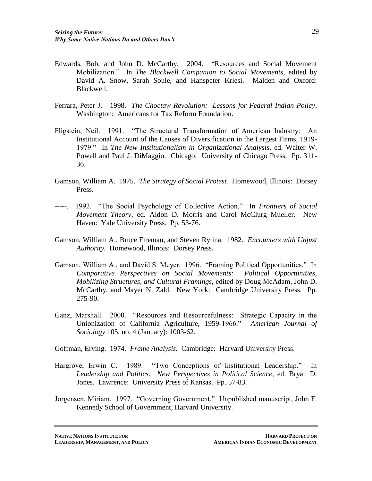- Edwards, Bob, and John D. McCarthy. 2004. "Resources and Social Movement Mobilization." In *The Blackwell Companion to Social Movements,* edited by David A. Snow, Sarah Soule, and Hanspeter Kriesi. Malden and Oxford: Blackwell.
- Ferrara, Peter J. 1998. *The Choctaw Revolution: Lessons for Federal Indian Policy*. Washington: Americans for Tax Reform Foundation.
- Fligstein, Neil. 1991. "The Structural Transformation of American Industry: An Institutional Account of the Causes of Diversification in the Largest Firms, 1919- 1979." In *The New Institutionalism in Organizational Analysis,* ed. Walter W. Powell and Paul J. DiMaggio. Chicago: University of Chicago Press. Pp. 311- 36.
- Gamson, William A. 1975. *The Strategy of Social Protest.* Homewood, Illinois: Dorsey Press.
- -----. 1992. "The Social Psychology of Collective Action." In *Frontiers of Social Movement Theory,* ed. Aldon D. Morris and Carol McClurg Mueller. New Haven: Yale University Press. Pp. 53-76.
- Gamson, William A., Bruce Fireman, and Steven Rytina. 1982. *Encounters with Unjust Authority.* Homewood, Illinois: Dorsey Press.
- Gamson, William A., and David S. Meyer. 1996. "Framing Political Opportunities." In *Comparative Perspectives on Social Movements: Political Opportunities, Mobilizing Structures, and Cultural Framings,* edited by Doug McAdam, John D. McCarthy, and Mayer N. Zald. New York: Cambridge University Press. Pp. 275-90.
- Ganz, Marshall. 2000. "Resources and Resourcefulness: Strategic Capacity in the Unionization of California Agriculture, 1959-1966." *American Journal of Sociology* 105, no. 4 (January): 1003-62.

Goffman, Erving. 1974. *Frame Analysis.* Cambridge: Harvard University Press.

- Hargrove, Erwin C. 1989. "Two Conceptions of Institutional Leadership." In *Leadership and Politics: New Perspectives in Political Science,* ed. Bryan D. Jones. Lawrence: University Press of Kansas. Pp. 57-83.
- Jorgensen, Miriam. 1997. "Governing Government." Unpublished manuscript, John F. Kennedy School of Government, Harvard University.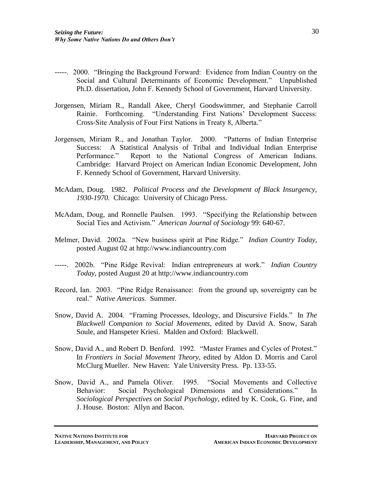- -----. 2000. "Bringing the Background Forward: Evidence from Indian Country on the Social and Cultural Determinants of Economic Development." Unpublished Ph.D. dissertation, John F. Kennedy School of Government, Harvard University.
- Jorgensen, Miriam R., Randall Akee, Cheryl Goodswimmer, and Stephanie Carroll Rainie. Forthcoming. "Understanding First Nations' Development Success: Cross-Site Analysis of Four First Nations in Treaty 8, Alberta."
- Jorgensen, Miriam R., and Jonathan Taylor. 2000. "Patterns of Indian Enterprise Success: A Statistical Analysis of Tribal and Individual Indian Enterprise Performance." Report to the National Congress of American Indians. Cambridge: Harvard Project on American Indian Economic Development, John F. Kennedy School of Government, Harvard University.
- McAdam, Doug. 1982. *Political Process and the Development of Black Insurgency, 1930-1970.* Chicago: University of Chicago Press.
- McAdam, Doug, and Ronnelle Paulsen. 1993. "Specifying the Relationship between Social Ties and Activism." *American Journal of Sociology* 99: 640-67.
- Melmer, David. 2002a. "New business spirit at Pine Ridge." *Indian Country Today,* posted August 02 at http://www.indiancountry.com
- -----. 2002b. "Pine Ridge Revival: Indian entrepreneurs at work." *Indian Country Today,* posted August 20 at http://www.indiancountry.com
- Record, Ian. 2003. "Pine Ridge Renaissance: from the ground up, sovereignty can be real." *Native Americas.* Summer.
- Snow, David A. 2004. "Framing Processes, Ideology, and Discursive Fields." In *The Blackwell Companion to Social Movements,* edited by David A. Snow, Sarah Soule, and Hanspeter Kriesi. Malden and Oxford: Blackwell.
- Snow, David A., and Robert D. Benford. 1992. "Master Frames and Cycles of Protest." In *Frontiers in Social Movement Theory,* edited by Aldon D. Morris and Carol McClurg Mueller. New Haven: Yale University Press. Pp. 133-55.
- Snow, David A., and Pamela Oliver. 1995. "Social Movements and Collective Behavior: Social Psychological Dimensions and Considerations." In *Sociological Perspectives on Social Psychology,* edited by K. Cook, G. Fine, and J. House. Boston: Allyn and Bacon.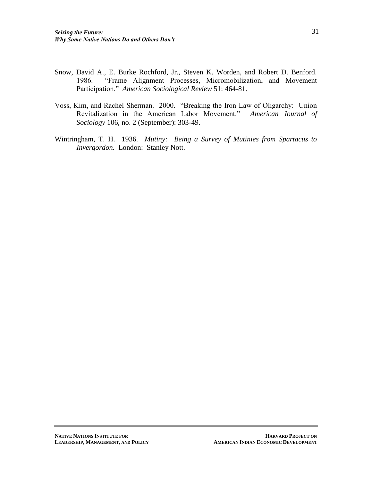- Snow, David A., E. Burke Rochford, Jr., Steven K. Worden, and Robert D. Benford. 1986. "Frame Alignment Processes, Micromobilization, and Movement Participation." *American Sociological Review* 51: 464-81.
- Voss, Kim, and Rachel Sherman. 2000. "Breaking the Iron Law of Oligarchy: Union Revitalization in the American Labor Movement." *American Journal of Sociology* 106, no. 2 (September): 303-49.
- Wintringham, T. H. 1936. *Mutiny: Being a Survey of Mutinies from Spartacus to Invergordon.* London: Stanley Nott.